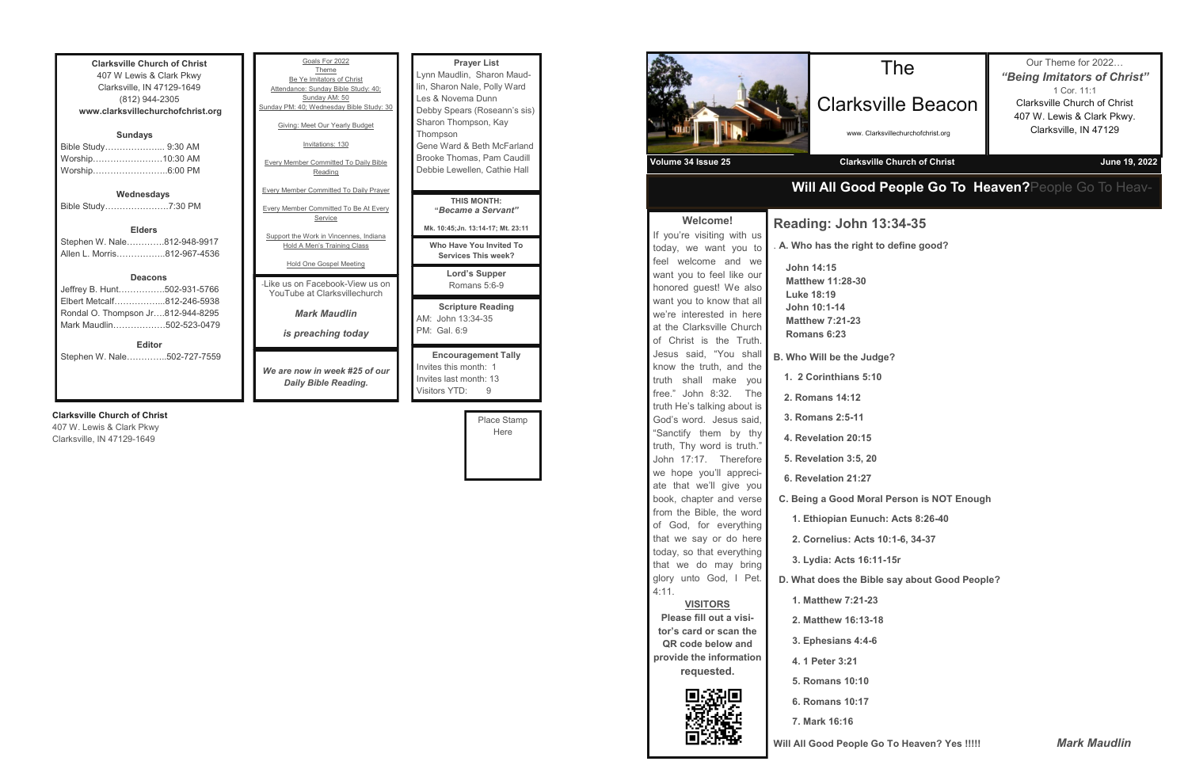| <b>Clarksville Church of Christ</b><br>407 W Lewis & Clark Pkwy<br>Clarksville, IN 47129-1649<br>(812) 944-2305<br>www.clarksvillechurchofchrist.org |  |  |
|------------------------------------------------------------------------------------------------------------------------------------------------------|--|--|
|                                                                                                                                                      |  |  |
| <b>Sundays</b>                                                                                                                                       |  |  |
| Bible Study 9:30 AM                                                                                                                                  |  |  |
| Worship10:30 AM                                                                                                                                      |  |  |
| Worship6:00 PM                                                                                                                                       |  |  |
|                                                                                                                                                      |  |  |
| Wednesdays                                                                                                                                           |  |  |
| Bible Study7:30 PM                                                                                                                                   |  |  |
|                                                                                                                                                      |  |  |
| <b>Elders</b>                                                                                                                                        |  |  |
| Stephen W. Nale…………812-948-9917                                                                                                                      |  |  |
| Allen L. Morris…………….812-967-4536                                                                                                                    |  |  |
|                                                                                                                                                      |  |  |
| <b>Deacons</b>                                                                                                                                       |  |  |
| Jeffrey B. Hunt502-931-5766                                                                                                                          |  |  |
| Elbert Metcalf812-246-5938                                                                                                                           |  |  |
| Rondal O. Thompson Jr812-944-8295                                                                                                                    |  |  |
| Mark Maudlin………………502-523-0479                                                                                                                       |  |  |
|                                                                                                                                                      |  |  |
| <b>Editor</b>                                                                                                                                        |  |  |
| Stephen W. Nale502-727-7559                                                                                                                          |  |  |

### **Clarksville Church of Christ**

407 W. Lewis & Clark Pkwy Clarksville, IN 47129-1649

| Goals For 2022<br>Theme<br>Be Ye Imitators of Christ<br>Attendance: Sunday Bible Study: 40;<br>Sunday AM: 50<br>Sunday PM: 40; Wednesday Bible Study: 30<br>Giving: Meet Our Yearly Budget<br>Invitations: 130<br><b>Every Member Committed To Daily Bible</b><br>Reading | <b>Prayer List</b><br>Lynn Maudlin, Sharon Maud-<br>lin, Sharon Nale, Polly Ward<br>Les & Novema Dunn<br>Debby Spears (Roseann's sis)<br>Sharon Thompson, Kay<br>Thompson<br>Gene Ward & Beth McFarland<br>Brooke Thomas, Pam Caudill<br>Debbie Lewellen, Cathie Hall |
|---------------------------------------------------------------------------------------------------------------------------------------------------------------------------------------------------------------------------------------------------------------------------|-----------------------------------------------------------------------------------------------------------------------------------------------------------------------------------------------------------------------------------------------------------------------|
| <b>Every Member Committed To Daily Prayer</b><br><b>Every Member Committed To Be At Every</b><br>Service<br>Support the Work in Vincennes, Indiana<br>Hold A Men's Training Class                                                                                         | THIS MONTH:<br>"Became a Servant"<br>Mk. 10:45; Jn. 13:14-17; Mt. 23:11<br>Who Have You Invited To                                                                                                                                                                    |
| Hold One Gospel Meeting<br>- like us on Facebook-View us on<br>YouTube at Clarksvillechurch                                                                                                                                                                               | <b>Services This week?</b><br>Lord's Supper<br>Romans 5:6-9                                                                                                                                                                                                           |
| <b>Mark Maudlin</b><br>is preaching today                                                                                                                                                                                                                                 | <b>Scripture Reading</b><br>AM: John 13:34-35<br>PM: Gal. 6:9                                                                                                                                                                                                         |
| We are now in week #25 of our<br>Daily Bible Reading.                                                                                                                                                                                                                     | <b>Encouragement Tally</b><br>Invites this month: 1<br>Invites last month: 13<br>Visitors YTD:<br>9                                                                                                                                                                   |

Place Stamp Here

## **Will All Good People Go To Heaven?**People Go To Heav-



## Clarksville Beacon

www. Clarksvillechurchofchrist.org

Our Theme for 2022… *"Being Imitators of Christ"* 1 Cor. 11:1 Clarksville Church of Christ 407 W. Lewis & Clark Pkwy. Clarksville, IN 47129

 **C. Being a Good Moral Person is NOT Enough**

 **1. Ethiopian Eunuch: Acts 8:26-40**

 **D. What does the Bible say about Good People?**

**Will All Good People Go To Heaven? Yes !!!!!** *Mark Maudlin*